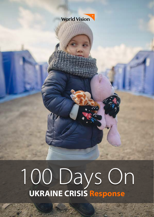

# 100 Days On **UKRAINE CRISIS Response**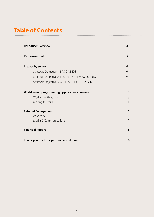# **Table of Contents**

| <b>Response Overview</b>                       | $\overline{\mathbf{3}}$ |
|------------------------------------------------|-------------------------|
| <b>Response Goal</b>                           | 5                       |
| Impact by sector                               | 6                       |
| Strategic Objective 1: BASIC NEEDS             | 6                       |
| Strategic Objective 2: PROTECTIVE ENVIRONMENTS | 9                       |
| Strategic Objective 3: ACCESS TO INFORMATION   | 10                      |
| World Vision programming approaches in review  | 13                      |
| Working with Partners                          | 13                      |
| Moving forward                                 | 14                      |
| <b>External Engagement</b>                     | 16                      |
| Advocacy                                       | 16                      |
| Media & Communications                         | 17                      |
| <b>Financial Report</b>                        | 18                      |
| Thank you to all our partners and donors       | 18                      |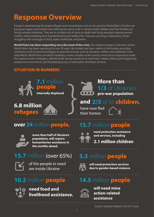# **Response Overview**

Europe is experiencing the largest refugee and humanitarian crisis on its soil since World War II. Families are being torn apart, and children are suffering the worst of all. In Ukraine itself, children and their families are facing extreme hardships. They are at constant risk of injury or death and living amongst ongoing armed conflict, whilst shielding from bombardments and artillery fire. They are surviving in basements, whilst struggling with shortages in food, water, healthcare, and power.

**World Vision has been responding since the onset of the crisis.** Our response began in Romania where World Vision has been operating for over 30 years. We initially met basic needs on the border, providing sustenance and connecting refugees to essential services, such as transport, shelter, and healthcare. From early March, World Vision pivoted to building a more complex multi-country, multi-sector response to meet the varying needs of refugees, delivering life-saving assistance to meet basic needs, creating and supporting protective environments, and facilitating access to information and basic services.

### **SITUATION IN NUMBERS**



# **people internally displaced**

**7.1** million

# **refugees**



### **1/3** of Ukraine's **pre-war population More than**

# **6.8 million 19.19 Cand 2/3** of its **children,**

have now fled their homes

### **over 24** million **people,**



**more than half of Ukraine's population, will require humanitarian assistance in the months ahead.**

## **15.7** million (over 65%)



of the people in need are inside Ukraine

## **10.2** million **people**



**need food and livelihood assistance.** 

## **15.7** million **people**



**need protection assistance and services, including**

# **2.1 million children**

# **3.3** million **people**



**will need protection services due to gender-based violence**

# **14.5** million **people**



**will need mine action-related assistance**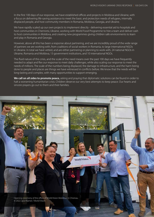In the first 100 days of our response, we have established offices and projects in Moldova and Ukraine, with a focus on delivering life-saving assistance to meet the basic and protection needs of refugees, internally displaced people, and host community members in Romania, Moldova, Georgia, and Ukraine.

We have rapidly scaled up our own projects to implement directly - delivering essential aid to hospitals and host communities in Chernivtsi, Ukraine, working with World Food Programme to hire a team and deliver cash to host communities in Moldova, and creating new programmes giving children safe environments to learn and play in Romania and Georgia.

However, above all this has been a response about partnering, and we are incredibly proud of the wide range of partners we are working with, from coalitions of social workers in Romania, to large international NGOs in Ukraine. In total we have vetted, and are either partnering or planning to work with, 24 national NGOs in Ukraine, Romania and Moldova, 13 government institutions, and 10 international NGOs.

The fluid nature of this crisis, and the scale of the need means over the past 100 days we have frequently needed to adapt and flex our response to meet daily challenges, while also scaling our response to meet the needs of millions. The scale of the numbers being displaced, the damage to infrastructure, and the harm being done to people and places are things we have witnessed in conflicts before. We know that the needs will be long-lasting and complex, with many opportunities to support emerging.

**We call on all sides to promote peace,** asking and praying that diplomatic solutions can be found in order to halt a worsening humanitarian crisis. Children deserve our very best attempts to keep peace. Our hearts and sincere prayers go out to them and their families.

**World Vision** 

Opening ceremony of the office of World Vision Moldova in Chisinau. © 2022 Jaco Klamer / World Vision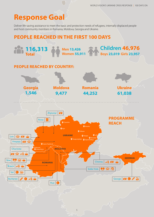# **Response Goal**

Deliver life-saving assistance to meet the basic and protection needs of refugees, internally displaced people and host community members in Romania, Moldova, Georgia and Ukraine.

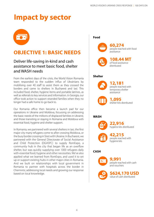# **Impact by sector**



### **OBJECTIVE 1: BASIC NEEDS**

### Deliver life-saving in-kind and cash assistance to meet basic food, shelter and WASH needs

From the earliest days of the crisis, the World Vision Romania team responded to the sudden influx of Ukrainians by mobilising over 40 staff to assist them as they crossed the borders and came to shelters in Bucharest and Iasi. This included food, shelter, hygiene items and portable latrines, as well as referrals to key services and information. In Georgia, our office took action to support stranded families when they no longer had a safe home to go back to.

Our Romania office then became a launch pad for our operations in Ukraine and Moldova, focussing on addressing the basic needs of the millions of displaced families in Ukraine, and those transiting or staying in Romania and Moldova with essential food, hygiene and shelter support.

In Romania, we partnered with several shelters in Iasi, the first major city many refugees come to after crossing Moldova, or the busy border crossing in Siret with Ukraine. In Bucharest, we partnered with the General Directorate of Social Assistance and Child Protection (DGASPC) to supply RomExpo, a community hub in the city that began life as an overflow shelter, but was quickly supplying over 1000 refugees daily with essential food, hygiene and other necessities. We've also applied what we learned from RomExpo, and used it to set up or support existing hubs in other major cities in Romania. And we built on relationships with local government in Romania to partner with hospitals across the border in Chernivtsi, addressing local needs and growing our response based on local knowledge.

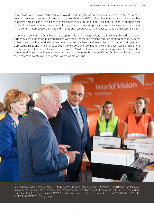In Moldova, World Vision partnered with World Food Programme to bring our collective expertise in cash voucher programming to the Ukraine response. World Vision and World Food Programme have worked together to deliver cash assistance in dozens of other emergencies, and in Moldova tailored this work to support host families in one of the poorest countries in Europe. Through our cash programmes, we also made new contacts in the community, met new partners, and listened and responded to their needs to identify other essential gaps.

In general in our Ukraine Crisis Response, supporting local agencies, shelters, and NGOs has allowed us to reach further quickly, supporting many thousands with food, shelter and hygiene through existing networks. Access to basic needs such as food, shelter, and sanitation and hygiene continues to be critical for both refugees and displaced families, and will continue to be a major part of our response after the first 100 days. Local procurement of food commodities from a localised food basket in Moldova, Ukraine and Romania significantly reduced the turn-around time for much needed emergency assistance to reach disaster-affected families and helps support the local economy of towns and centres where we are working.



Britain's Prince Charles, Prince of Wales, Custodian of the Crown of Romania Princess Margareta (L) and Head of the Romanian Emergency Service and State secretary at the Internal Affairs Ministry Raed Arafat (R) speak with volunteers as they visit the center for Ukrainian refugees at the "ROMEXPO" exhibition center in Bucharest, Romania, on May 25, 2022. ©ALEX MICSIK/ AGERPRES FOTO/AFP via Getty Images)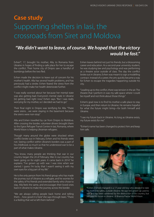# **Case study** Supporting shelters in Iasi, the crossroads from Siret and Moldova

### *"We didn't want to leave, of course. We hoped that the victory would be fast."*

Evhen\*, 17, brought his mother, Alla, to Romania from Ukraine in hopes of finding a safe place for her to escape the conflict. Their home city of Dnipro saw a handful of bombings before the two fled.

Evhen made the decision to leave out of concern for his mother's health. Alla has several health problems, and has previously had a stroke. Evhen feared the stress from the conflict might make her health deteriorate further.

"I was really worried about her because her mental state was also getting bad. Everyone's mental state in Ukraine [is] getting bad right now," Evhen says. "But I was really worrying for my mother, so I decided we had to go."

Their final night in Dnipro was terrifying for Alla. "There were sirens…we were staying in the basement because the sirens were non-stop."

Alla and Evhen travelled by car from Dnipro to Moldova. After crossing the border, volunteer drivers brought them to the Egros Refugee Transit Centre in Iasi, Romania, where World Vision is helping Ukrainian refugees.

Though many around the globe were shocked when conflict broke out in February, Evhen and his friends were not. Seeing conflict within Ukraine's borders was a part of his childhood, so much so that he understood war to be a part of what makes Ukraine.

"You know, many people are thinking that war in our country began the 24 of February. War in our country has been going on for eight years. It came back in 2014." he explains. "I've grown up with war. I was nine when war started. I guess I'm lucky that I wasn't seeing it with my own eyes for a big part of my life."

He is the only person from his friend group who has made the journey out of Ukraine as a refugee, and he worries for the safety of his friends and extended family who chose to stay. Alla feels the same, and encourages their loved ones back in Ukraine to make the journey across the border.

"We are always calling people back home and telling them…how good it is here" she says through tears. "There is a feeling that we've left them behind."

Evhen leaves behind not just his friends, but a blossoming career and education. As a second-year university student, he was studying law and psychology and was performing as a theatre actor outside of class. The day the conflict broke out in Ukraine, Evhen was meant to sign a modelling contract. Instead of a career, the arts quickly became a way for Evhen to escape the tragedies happening outside his city.

"Leading up to the conflict, there was tension in the air. The theatre that I perform in was my safe space where I could be myself and not think about those things."

Evhen's goal now is to find his mother a safe place to stay in Europe, and then return to Ukraine. He remains hopeful for what the future might bring—for both himself and Ukraine.

"I see my future back in Ukraine. As long as Ukraine exists, my future exists for me."

\*Evhen's name has been changed to protect him and keep him safe.



\*Evhen (named changed) is a 17-year-old boy who decided to take his mother to safety, outside Ukraine. He says he's grown up used to war and has been saddened by the destruction of his country, but still sees his future in Ukraine. © Brianna Piazza/ World Vision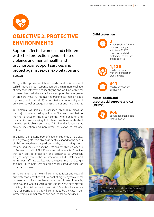

### **Child protection OBJECTIVE 2: PROTECTIVE ENVIRONMENTS**

Support affected women and children with child protection, gender-based violence and mental health and psychosocial support services and protect against sexual exploitation and abuse

Along with a provision of basic needs, food assistance and cash distributions, our response activated a minimum package of protection interventions, identifying and working with local partners that had the capacity to support the ecosystem children are living in. This involved training partners on basic psychological first aid (PFA), humanitarian accountability and principles, as well as safeguarding standards and mechanisms.

In Romania, we initially established child play areas at the major border crossing points in Siret and Husi, before moving to focus on the urban centres where children and their families were staying. In Bucharest we have established three Happy Bubbles - enhanced Child Friendly Spaces – that provide recreation and non-formal education to refugee children.

In Georgia, our existing pool of experienced music therapists and psychologists were able to instantly respond to the needs of children suddenly trapped on holiday, conducting music therapy and inclusive dancing sessions for children aged 3 to 14. Working with UNHCR, we also maintain a 24/7 hotline that can provide protection and assistance to Ukrainian refugees anywhere in the country. And in Tbilisi, Batumi and Kutaisi, our staff have worked with the government of Georgia and UNHCR to hold sessions on gender-based violence for Ukrainian women.

In the coming months we will continue to focus and expand our protection activities, with a pool of highly dynamic local partners and direct implementation in Ukraine, Romania, Moldova and Georgia. Across our response, we have strived to integrate child protection and MHPSS with education as much as possible, and this will continue to be the case in our forthcoming summer camps and back to school activities.



Happy Bubbles (service hubs with integrated activities – MHPSS, education and child protection) established and supported

#### **1,128**



children supported with child protection programming

**341**  child protection kits distributed

#### **Mental health and psychosocial support services (MHPSS)**



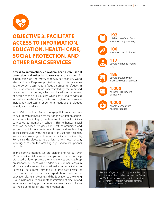

### **OBJECTIVE 3: FACILITATE ACCESS TO INFORMATION, EDUCATION, HEALTH CARE, SOCIAL PROTECTION, AND OTHER BASIC SERVICES**

**Access to information, education, health care, social protection and other basic services** is challenging for a population on the move, especially for children. World Vision's Ukraine Response pivoted very quickly from a focus at the border crossings to a focus on assisting refugees in the urban centres. This was necessitated by the improved processes at the border, which facilitated the movement of people to the cities quickly. While continuing to address immediate needs for food, shelter and hygiene items, we are increasingly addressing longer-term needs of the refugees as well, such as education.

World Vision has identified and engaged Ukrainian teachers to pair up with Romanian teachers in the facilitation of nonformal activities in Happy Bubbles and for formal activities connected to Romanian schools. This enhances social cohesion between refugees and host communities and ensures that Ukrainian refugee children continue learning in their curriculum with the support of Ukrainian teachers. We are also working on integration activities in Georgia, Romania and Moldova to help children enrol in local schools, for refugees to learn the local languages, and to help parents find jobs.

In the coming months, we are planning to roll-out over 90 non-residential summer camps in Ukraine to help displaced children process their experiences and catch up on schoolwork. There will be additional summer camps in Moldova, and a series of educational summer activities in Romania. The summer camps are in large part a result of the commitment our technical experts have made to the education cluster in Ukraine and the Education sub-Working Group in Romania, to ensure standardisation of practice and incorporation of key programming elements across diverse partners during design and implementation.





**100** 

education kits distributed



**117** 

people referred to medical care



people provided with livelihood support services

### **1,000**

**186** 



### **4,000**

people reached with hospital supplies



a computer at the Portable Connectivity Center that World Vision has opened with its partners Geeks without Frontiers in Bucharest, Romania. © 2022 Paul Wu / World Vision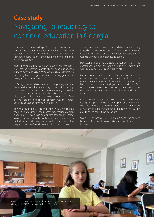# **Case study** Navigating bureaucracy to continue education in Georgia

Masha is a 12-year-old girl from Zaporizhzhia, who's been in Georgia for nearly four months now. She came to Georgia for a skiing holiday with family and friends in February, but stayed after the beginning of the conflict in her home country.

"In the beginning it was very boring. We were all sat in the hotel feeling homesick, constantly checking our phones, but one day World Vision came with musical instruments, and everything changed; we started playing games and doing fun activities with them."

In Georgia, World Vision has been supporting children from Ukraine from the very first day of the crisis, providing psycho-social support through music therapy, as well as direct assistance with cash vouchers for food, medicine, clothes, and other necessities. World Vision heard from parents that one of their main concerns was the limited access to education for Ukrainian children.

The Ministry of Education and Science in Georgia took the decision to simplify the process for enrolling children from Ukraine into public and private schools. The World Vision team was actively involved in supporting families with documentation and bureaucratic processes and has helped more than 70 children enrol in schools to date.

An important part of Masha's new life has been adapting to studies at her new school. She's at a school that offers classes in Russian, so she can continue her education in Georgia without facing a language barrier.

Her teacher recalls, "At the start she was shy and a little constrained, but now she wears a smile on her face and is well liked by classmates and teachers alike."

Masha's favourite subjects are biology and sports, as well as Georgian, which helps her communicate with her new classmates. Every day she also rides the bus with her Ukrainian friends that are staying at the hotel with her. And of course, every week she takes part in the extracurricular social and sport activities organised by the World Vision team.

Overall, Masha is satisfied with the help World Vision Georgia has provided her and has given us 'a high score!'. With the end of the school year approaching and the start of holidays in sight, she hopes she and her friends will be able to spend some time by the sea.

Overall, 1424 people (523 children among them) have benefited from World Vision's Ukraine Crisis Response in Georgia.



11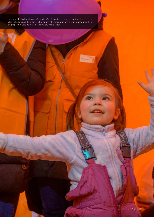Four-year-old Vasilina plays at World Vision's safe playing area at the Siret border. This area allows children and their families the option of warming up and a time to play after their long trips from Ukraine. © Laura Reinhardt / World Vision

WORLD VISION'S UKRAINE CRISIS RESPONSE | 100 DAYS ON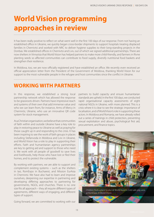# **World Vision programming approaches in review**

It has been really positive to reflect on what went well in the first 100 days of our response. From not having an established office in Ukraine, we quickly began cross-border shipments to support hospitals treating displaced families in Chernivtsi and worked with NRC to deliver hygiene supplies to their long-standing projects in the Donbas. We established offices in Chernivtsi and Lviv, out of which we signed additional partnerships. There are now shelters in Vinnytsia that World Vision has helped partners to make more child-friendly, and farmers in Rivne planting seeds so affected communities can contribute to food supply, diversify nutritional food baskets and strengthen their resilience.

In Moldova, too, we are now officially registered and have established an office. We recently even received an official appreciation letter from the President of the Government of Moldova, thanking World Vision for our support to the most vulnerable people in the refugee and host communities since the conflict in Ukraine.

### **WORKING WITH PARTNERS**

In this response, we established a strong local partnership network which has allowed the response to be grassroots driven. Partners have impressive reach and systems of their own that add immense value and who we can learn from, for instance, Arms of Mercy in Chernivtsi, Ukraine, who use an innovative QR code system for stock management.

As a Christian organisation, we believe that communities of faith within and outside Ukraine have a key role to play in restoring peace to Ukraine as well as praying for those caught up in and responding to the crisis. It has been inspiring to see the work of faith groups in places including Stefanvoda in Moldova and Lviv in Ukraine, and World Vision has a role to play in supporting their efforts. Faith and humanitarian agency partnerships are key to getting aid and support to those who need it. We work with all people of goodwill to save lives and livelihoods, help those who have lost or fled their homes, and to protect the vulnerable.

By working with partners, we are able to support and complement existing systems – such as the shelters in Iasi, RomExpo in Bucharest, and Mission EurAsia in Chernivtsi. We have also had to learn and improve ourselves, deepening our expertise in partnering and developing differing approaches to partnering for governments, NGOs, and churches. There is no one size fits all approach – they all require different types of agreements, different ways of engaging, and different types of support.

Going forward, we are committed to working with our

partners to build capacity and ensure humanitarian standards are upheld. In the first 100 days, we conducted rapid organisational capacity assessments of eight national NGOs in Ukraine, with more planned. This is a crisis where it is clear to see the strategic importance of localisation, and of World Vision's role in supporting these actors. In Moldova and Romania, we have already rolled out a series of trainings in child protection, preventing sexual exploitation and abuse, psychological first aid, procurement, and finance topics.

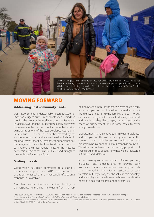

### **MOVING FORWARD**

#### **Addressing host community needs**

Our response has understandably been focused on Ukrainian refugees, but it is important to keep in mind and monitor the needs of the local host communities as well. In Moldova, we (and the UN agencies) quickly discovered huge needs in the host community due to their existing vulnerability as one of the least developed countries in Eastern Europe. This has been further stressed by the social-economic crisis, and elevated levels of inflation. In Moldova, we will adapt our response to support not only the refugees, but also the local Moldovan community, to improve their livelihoods, mitigate the negative economic impact of the crisis in Ukraine and strengthen their resilience for future influxes.

#### **Scaling up cash**

World Vision has been committed to a cash-first humanitarian response since 2016<sup>1</sup>, and promotes its use as best practice<sup>2</sup>, as in our Venezuela refugee crisis response in Colombia.3

Cash has been at the heart of the planning for our response to the crisis in Ukraine from the very

beginning. And in this response, we have heard clearly from our partners and families themselves about the dignity of cash in giving families choice – to buy clothes for new job interviews, to diversify their food and buy things they like, to repay debts caused by the chaos of displacement, and in some cases, to cover family funeral costs.

Disbursements have already begun in Ukraine, Moldova, and Georgia, and this will be rapidly scaled up in the coming months with largescale multipurpose cash programming planned for all four response countries. We will also implement an increasing proportion of these programmes directly now that we are registered in Ukraine and Moldova.

It has been great to work with different partners, including local organisations, to provide cash assistance. In some cases, partners have not previously been involved in humanitarian assistance or cash transfers, but they clearly see the value in this modality, and are highly motivated to use cash to respond to the needs of displaced children and their families.

<sup>1</sup> https://jliflc.com/wp-content/uploads/2016/06/World-Vision-International\_12-commitments\_Presence\_World-Humanitarian-Summit.pdf

<sup>2</sup> https://www.wvi.org/sites/default/files/2019-12/CVP%20Overview%20Report%20links.pdf

<sup>&</sup>lt;sup>3</sup> Taetzsch, K. 2022. Economic Resilience "On-the-Move": new tools to leverage local markets for basic needs through conflict-sensitive approaches. World Vision. March 8th 2022. Accessible: https://www.wvi.org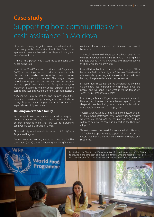# **Case study** Supporting host communities with cash assistance in Moldova

Since late February, Angelica Tanasi has offered shelter to as many as 14 people at a time in her 3-bedroom apartment where she lives with her 19-year-old daughter and 30-year-old son.

"I think I'm a person who always helps someone who needs it," she says.

In Moldova, World Vision and the World Food Programme (WFP) worked together to provide a one-time cash distribution to families hosting at least two Ukrainian refugees for more than one week. The program began in Moldova in April 2022 and concentrated on Dubasari and the capital, Chișinău. Each host family receives 3,500 Moldovan lei (\$190) to help cover their expenses, and the cash can be used on anything the family deems necessary.

Angelica was already hosting, and learned about the programme from the people staying in her house. It's been a huge help to her, and helps cover her rising expenses, especially electricity and water.

#### **Building an extended family**

By late April 2022, one family remained at Angelica's home—a mother and three daughters. Angelica and her children embraced them. She says, "We do everything together. We cook, clean, go for a walk."

"This is a family who took us in like we are their family," says 14-year-old Eugenia.

"When we were leaving, everything was usually like they show [on tv] the war, shooting, bombing," Eugenia

continues. "I was very scared. I didn't know how I would be received."

Angelica's 19-year-old daughter, Elisabeth, acts as an older sister for Eugenia and her sister Ana—helping them navigate around Chișinău. Angelica and Elisabeth babysit the kids while their mom works.

Elisabeth's face lights up as she talks about the girls. "They helped me feel like I'm a big sister," she says. She takes this role seriously by walking with the girls to local parks and helping nine-year-old Ana with her homework.

Elisabeth doesn't see her family's generosity as anything extraordinary. "It's important to help because we are people, and we don't know what it will be tomorrow. Today I help. Tomorrow, you help."

Even though Ana and Eugenia miss those left behind in Ukraine, they didn't feel safe once the war began. "I couldn't sleep well there. I couldn't go out for a walk, but I can do all these here," says Eugenia. "I'm happy here."

Youssef Mhanna, World Vision's lead in Moldova, thanks all the Moldovan host families. "We as World Vision appreciate what you are doing. And we will pray for you, and we will try to help you to continue supporting the Ukrainian refugees."

Youssef stresses the need for continued aid. He says, "Let's take this opportunity to support all of them and to ensure that the children, women, and men are helped and supported."

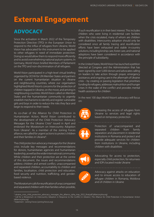# **External Engagement**

### **ADVOCACY**

Since the activation in March 2022 of the Temporary Protection Directive (TPD) in the European Union to respond to the influx of refugees from Ukraine, World Vision has advocated for this instrument to be applied to other refugees in need of immediate protection. Doing so would allow them to respond more efficiently and to avoid overwhelming national asylum systems. In Germany, World Vision briefed Members of Parliament on the TPD and non-discrimination of all refugees.

World Vision participated in a high-level virtual briefing organized by OCHA for UN Member States and partners on the current humanitarian situation in Ukraine and neighbouring countries, where our organisation highlighted World Vision's concerns for the protection of children trapped in Ukraine, on the move, and arriving in neighbouring countries. World Vision called on Member States and the humanitarian community to urgently establish mechanisms to identify and register vulnerable girls and boys in order to reduce the risks they face and begin to respond to their needs.

As co-chair of the Alliance for Child Protection in Humanitarian Action, World Vision contributed to the development of the Child Protection Advocacy Messages for the Ukraine Crisis<sup>4</sup> issued in April and endorsed the Moratorium on Intercountry Adoption from Ukraine<sup>5</sup>. As a member of the Joining Forces alliance, we called for urgent actions to protect children and their families in Ukraine<sup>6</sup>.

The child protection advocacy messages for the Ukraine crisis include key messages and recommendations for donors, humanitarian agencies and humanitarian leadership, as well as the wider international community. While children and their protection are at the centre of this document, the issues and recommendations address children and armed conflict, unaccompanied and separated children, accountability to children and families, localisation, child protection and education, food security and nutrition, trafficking, and genderbased violence.

The Moratorium calls for reunification of unaccompanied and separated children with their families when possible, if such reunification is in their best interest. This includes children who were living in residential care facilities when the crisis escalated, many of whom are children with disabilities. Intercountry adoption should only be considered once all family tracing and reunification efforts have been exhausted and stable in-country solutions, including kinship care, foster care, and national adoptions have been considered in accordance with the principle of subsidiarity.

In the United States, World Vision has launched a petition directed at Congress and the Administration that has been signed by over 5,000 donors and advocates calling on leaders to take action through prayer, emergency assistance, and ongoing care in the aftermath of Ukraine crisis – by creating or passing legislation that prioritises funding for refugees, addresses malnutrition and hunger crises in the wake of the conflict and provides mental health assistance for children

In the next 100 days World Vision's advocacy will focus on:



Increasing the access of refugees from Ukraine to services and legal rights based on temporary protection



Protection of unaccompanied and separated children from family separation and placement in residential institutions in Romania and protect and provide adequate services for children from institutions in Ukraine, including children with disabilities



Advocating for access to protection, especially child protection, for returnees and IDPs located inside Ukraine



Advocacy against attacks on education and to ensure access to education of refugee children in Romania, Moldova and of children in Ukraine

<sup>4</sup> ukraine\_crisis\_child\_protection\_advocacy\_messages\_the\_alliance\_cpha\_may\_2022\_final.pdf (alliancecpha.org)

<sup>5</sup> Call for a Moratorium on Intercountry Adoption in Response to the Conflict in Ukraine | The Alliance for Child Protection in Humanitarian Action (alliancecpha.org)

<sup>6</sup> Statement - Joining Forces (joining-forces.org)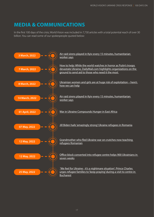### **MEDIA & COMMUNICATIONS**

In the first 100 days of the crisis, World Vision was included in 7,730 articles with a total potential reach of over 30 billion. You can read some of our spokespeople quoted below:

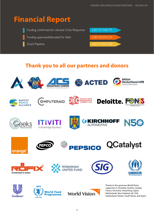# **Financial Report**

Funding confirmed for Ukraine Crisis Response: USD 97,748,775 Funding approved/allocated for field: USD 44,234,154 Grant Pipeline: USD 34,992,700

### **Thank you to all our partners and donors**